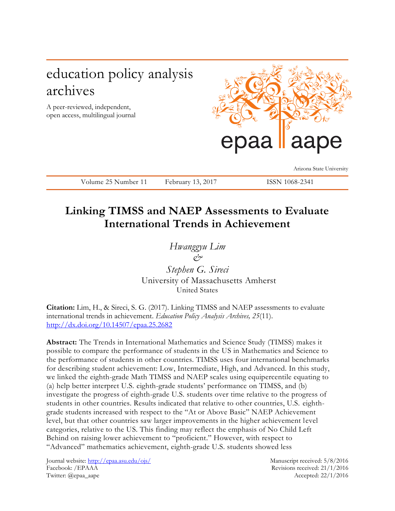# education policy analysis archives

A peer-reviewed, independent, open access, multilingual journal



Arizona State University

Volume 25 Number 11 February 13, 2017 ISSN 1068-2341

## **Linking TIMSS and NAEP Assessments to Evaluate International Trends in Achievement**

*Hwanggyu Lim &*

*Stephen G. Sireci* University of Massachusetts Amherst United States

**Citation:** Lim, H., & Sireci, S. G. (2017). Linking TIMSS and NAEP assessments to evaluate international trends in achievement. *Education Policy Analysis Archives, 25*(11). <http://dx.doi.org/10.14507/epaa.25.2682>

**Abstract:** The Trends in International Mathematics and Science Study (TIMSS) makes it possible to compare the performance of students in the US in Mathematics and Science to the performance of students in other countries. TIMSS uses four international benchmarks for describing student achievement: Low, Intermediate, High, and Advanced. In this study, we linked the eighth-grade Math TIMSS and NAEP scales using equipercentile equating to (a) help better interpret U.S. eighth-grade students' performance on TIMSS, and (b) investigate the progress of eighth-grade U.S. students over time relative to the progress of students in other countries. Results indicated that relative to other countries, U.S. eighthgrade students increased with respect to the "At or Above Basic" NAEP Achievement level, but that other countries saw larger improvements in the higher achievement level categories, relative to the US. This finding may reflect the emphasis of No Child Left Behind on raising lower achievement to "proficient." However, with respect to "Advanced" mathematics achievement, eighth-grade U.S. students showed less

Journal website:<http://epaa.asu.edu/ojs/> Manuscript received: 5/8/2016 Facebook: /EPAAA Revisions received: 21/1/2016 Twitter: @epaa\_aape Accepted: 22/1/2016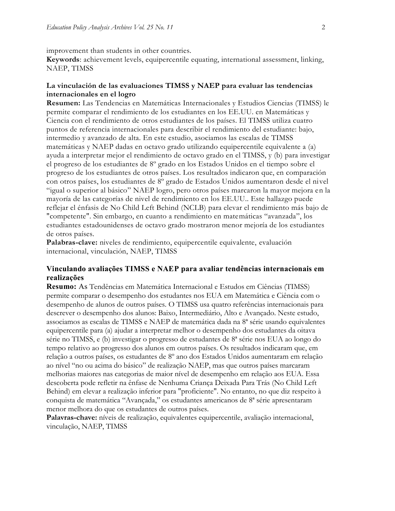improvement than students in other countries.

**Keywords**: achievement levels, equipercentile equating, international assessment, linking, NAEP, TIMSS

## **La vinculación de las evaluaciones TIMSS y NAEP para evaluar las tendencias internacionales en el logro**

**Resumen:** Las Tendencias en Matemáticas Internacionales y Estudios Ciencias (TIMSS) le permite comparar el rendimiento de los estudiantes en los EE.UU. en Matemáticas y Ciencia con el rendimiento de otros estudiantes de los países. El TIMSS utiliza cuatro puntos de referencia internacionales para describir el rendimiento del estudiante: bajo, intermedio y avanzado de alta. En este estudio, asociamos las escalas de TIMSS matemáticas y NAEP dadas en octavo grado utilizando equipercentile equivalente a (a) ayuda a interpretar mejor el rendimiento de octavo grado en el TIMSS, y (b) para investigar el progreso de los estudiantes de 8º grado en los Estados Unidos en el tiempo sobre el progreso de los estudiantes de otros países. Los resultados indicaron que, en comparación con otros países, los estudiantes de 8º grado de Estados Unidos aumentaron desde el nivel "igual o superior al básico" NAEP logro, pero otros países marcaron la mayor mejora en la mayoría de las categorías de nivel de rendimiento en los EE.UU.. Este hallazgo puede reflejar el énfasis de No Child Left Behind (NCLB) para elevar el rendimiento más bajo de "competente". Sin embargo, en cuanto a rendimiento en matemáticas "avanzada", los estudiantes estadounidenses de octavo grado mostraron menor mejoría de los estudiantes de otros países.

**Palabras-clave:** niveles de rendimiento, equipercentile equivalente, evaluación internacional, vinculación, NAEP, TIMSS

### **Vinculando avaliações TIMSS e NAEP para avaliar tendências internacionais em realizações**

**Resumo:** As Tendências em Matemática Internacional e Estudos em Ciências (TIMSS) permite comparar o desempenho dos estudantes nos EUA em Matemática e Ciência com o desempenho de alunos de outros países. O TIMSS usa quatro referências internacionais para descrever o desempenho dos alunos: Baixo, Intermediário, Alto e Avançado. Neste estudo, associamos as escalas de TIMSS e NAEP de matemática dada na 8ª série usando equivalentes equipercentile para (a) ajudar a interpretar melhor o desempenho dos estudantes da oitava série no TIMSS, e (b) investigar o progresso de estudantes de 8ª série nos EUA ao longo do tempo relativo ao progresso dos alunos em outros países. Os resultados indicaram que, em relação a outros países, os estudantes de 8º ano dos Estados Unidos aumentaram em relação ao nível "no ou acima do básico" de realização NAEP, mas que outros países marcaram melhorias maiores nas categorias de maior nível de desempenho em relação aos EUA. Essa descoberta pode refletir na ênfase de Nenhuma Criança Deixada Para Trás (No Child Left Behind) em elevar a realização inferior para "proficiente". No entanto, no que diz respeito à conquista de matemática "Avançada," os estudantes americanos de 8ª série apresentaram menor melhora do que os estudantes de outros países.

**Palavras-chave:** níveis de realização, equivalentes equipercentile, avaliação internacional, vinculação, NAEP, TIMSS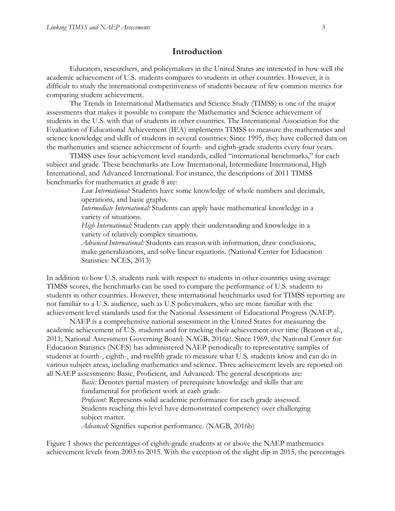## **Introduction**

Educators, researchers, and policymakers in the United States are interested in how well the academic achievement of U.S. students compares to students in other countries. However, it is difficult to study the international competitiveness of students because of few common metrics for comparing student achievement.

The Trends in International Mathematics and Science Study (TIMSS) is one of the major assessments that makes it possible to compare the Mathematics and Science achievement of students in the U.S. with that of students in other countries. The International Association for the Evaluation of Educational Achievement (IEA) implements TIMSS to measure the mathematics and science knowledge and skills of students in several countries. Since 1995, they have collected data on the mathematics and science achievement of fourth- and eighth-grade students every four years.

TIMSS uses four achievement level standards, called "international benchmarks," for each subject and grade. These benchmarks are Low International, Intermediate International, High International, and Advanced International. For instance, the descriptions of 2011 TIMSS benchmarks for mathematics at grade 8 are:

> *Low International:* Students have some knowledge of whole numbers and decimals, operations, and basic graphs.

*Intermediate International:* Students can apply basic mathematical knowledge in a variety of situations.

*High International:* Students can apply their understanding and knowledge in a variety of relatively complex situations.

*Advanced International:* Students can reason with information, draw conclusions, make generalizations, and solve linear equations. (National Center for Education Statistics: NCES, 2013)

In addition to how U.S. students rank with respect to students in other countries using average TIMSS scores, the benchmarks can be used to compare the performance of U.S. students to students in other countries. However, these international benchmarks used for TIMSS reporting are not familiar to a U.S. audience, such as U.S policymakers, who are more familiar with the achievement level standards used for the National Assessment of Educational Progress (NAEP).

NAEP is a comprehensive national assessment in the United States for measuring the academic achievement of U.S. students and for tracking their achievement over time (Beaton et al., 2011; National Assessment Governing Board: NAGB, 2016a). Since 1969, the National Center for Education Statistics (NCES) has administered NAEP periodically to representative samples of students at fourth-, eighth-, and twelfth grade to measure what U.S. students know and can do in various subject areas, including mathematics and science. Three achievement levels are reported on all NAEP assessments: Basic, Proficient, and Advanced. The general descriptions are:

> *Basic:* Denotes partial mastery of prerequisite knowledge and skills that are fundamental for proficient work at each grade.

*Proficient:* Represents solid academic performance for each grade assessed. Students reaching this level have demonstrated competency over challenging subject matter.

*Advanced:* Signifies superior performance. (NAGB, 2016b)

Figure 1 shows the percentages of eighth-grade students at or above the NAEP mathematics achievement levels from 2003 to 2015. With the exception of the slight dip in 2015, the percentages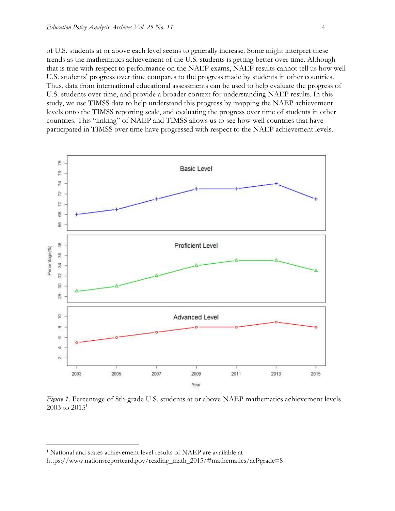of U.S. students at or above each level seems to generally increase. Some might interpret these trends as the mathematics achievement of the U.S. students is getting better over time. Although that is true with respect to performance on the NAEP exams, NAEP results cannot tell us how well U.S. students' progress over time compares to the progress made by students in other countries. Thus, data from international educational assessments can be used to help evaluate the progress of U.S. students over time, and provide a broader context for understanding NAEP results. In this study, we use TIMSS data to help understand this progress by mapping the NAEP achievement levels onto the TIMSS reporting scale, and evaluating the progress over time of students in other countries. This "linking" of NAEP and TIMSS allows us to see how well countries that have participated in TIMSS over time have progressed with respect to the NAEP achievement levels.



*Figure 1*. Percentage of 8th-grade U.S. students at or above NAEP mathematics achievement levels  $2003$  to  $2015^1$ 

 $\overline{a}$ 

https://www.nationsreportcard.gov/reading\_math\_2015/#mathematics/acl?grade=8

<sup>1</sup> National and states achievement level results of NAEP are available at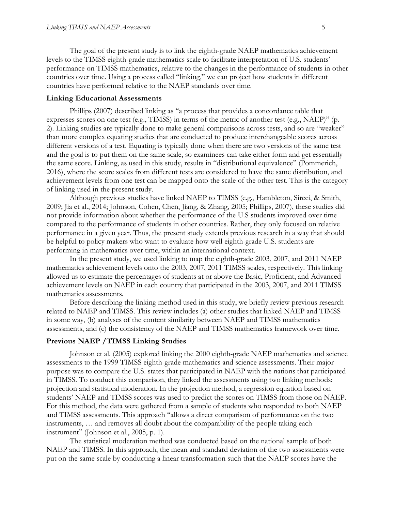The goal of the present study is to link the eighth-grade NAEP mathematics achievement levels to the TIMSS eighth-grade mathematics scale to facilitate interpretation of U.S. students' performance on TIMSS mathematics, relative to the changes in the performance of students in other countries over time. Using a process called "linking," we can project how students in different countries have performed relative to the NAEP standards over time.

#### **Linking Educational Assessments**

Phillips (2007) described linking as "a process that provides a concordance table that expresses scores on one test (e.g., TIMSS) in terms of the metric of another test (e.g., NAEP)" (p. 2). Linking studies are typically done to make general comparisons across tests, and so are "weaker" than more complex equating studies that are conducted to produce interchangeable scores across different versions of a test. Equating is typically done when there are two versions of the same test and the goal is to put them on the same scale, so examinees can take either form and get essentially the same score. Linking, as used in this study, results in "distributional equivalence" (Pommerich, 2016), where the score scales from different tests are considered to have the same distribution, and achievement levels from one test can be mapped onto the scale of the other test. This is the category of linking used in the present study.

Although previous studies have linked NAEP to TIMSS (e.g., Hambleton, Sireci, & Smith, 2009; Jia et al., 2014; Johnson, Cohen, Chen, Jiang, & Zhang, 2005; Phillips, 2007), these studies did not provide information about whether the performance of the U.S students improved over time compared to the performance of students in other countries. Rather, they only focused on relative performance in a given year. Thus, the present study extends previous research in a way that should be helpful to policy makers who want to evaluate how well eighth-grade U.S. students are performing in mathematics over time, within an international context.

In the present study, we used linking to map the eighth-grade 2003, 2007, and 2011 NAEP mathematics achievement levels onto the 2003, 2007, 2011 TIMSS scales, respectively. This linking allowed us to estimate the percentages of students at or above the Basic, Proficient, and Advanced achievement levels on NAEP in each country that participated in the 2003, 2007, and 2011 TIMSS mathematics assessments.

Before describing the linking method used in this study, we briefly review previous research related to NAEP and TIMSS. This review includes (a) other studies that linked NAEP and TIMSS in some way, (b) analyses of the content similarity between NAEP and TIMSS mathematics assessments, and (c) the consistency of the NAEP and TIMSS mathematics framework over time.

## **Previous NAEP /TIMSS Linking Studies**

Johnson et al. (2005) explored linking the 2000 eighth-grade NAEP mathematics and science assessments to the 1999 TIMSS eighth-grade mathematics and science assessments. Their major purpose was to compare the U.S. states that participated in NAEP with the nations that participated in TIMSS. To conduct this comparison, they linked the assessments using two linking methods: projection and statistical moderation. In the projection method, a regression equation based on students' NAEP and TIMSS scores was used to predict the scores on TIMSS from those on NAEP. For this method, the data were gathered from a sample of students who responded to both NAEP and TIMSS assessments. This approach "allows a direct comparison of performance on the two instruments, … and removes all doubt about the comparability of the people taking each instrument" (Johnson et al., 2005, p. 1).

The statistical moderation method was conducted based on the national sample of both NAEP and TIMSS. In this approach, the mean and standard deviation of the two assessments were put on the same scale by conducting a linear transformation such that the NAEP scores have the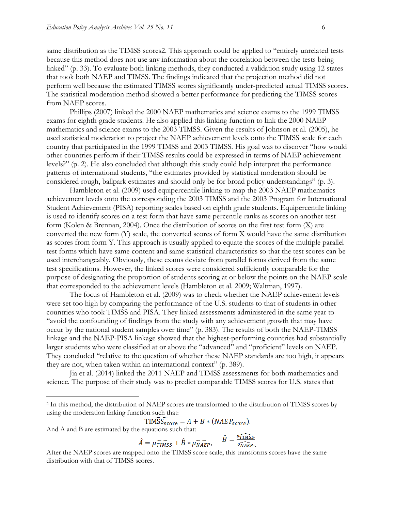same distribution as the TIMSS scores2. This approach could be applied to "entirely unrelated tests because this method does not use any information about the correlation between the tests being linked" (p. 33). To evaluate both linking methods, they conducted a validation study using 12 states that took both NAEP and TIMSS. The findings indicated that the projection method did not perform well because the estimated TIMSS scores significantly under-predicted actual TIMSS scores. The statistical moderation method showed a better performance for predicting the TIMSS scores from NAEP scores.

Phillips (2007) linked the 2000 NAEP mathematics and science exams to the 1999 TIMSS exams for eighth-grade students. He also applied this linking function to link the 2000 NAEP mathematics and science exams to the 2003 TIMSS. Given the results of Johnson et al. (2005), he used statistical moderation to project the NAEP achievement levels onto the TIMSS scale for each country that participated in the 1999 TIMSS and 2003 TIMSS. His goal was to discover "how would other countries perform if their TIMSS results could be expressed in terms of NAEP achievement levels?" (p. 2). He also concluded that although this study could help interpret the performance patterns of international students, "the estimates provided by statistical moderation should be considered rough, ballpark estimates and should only be for broad policy understandings" (p. 3).

Hambleton et al. (2009) used equipercentile linking to map the 2003 NAEP mathematics achievement levels onto the corresponding the 2003 TIMSS and the 2003 Program for International Student Achievement (PISA) reporting scales based on eighth grade students. Equipercentile linking is used to identify scores on a test form that have same percentile ranks as scores on another test form (Kolen & Brennan, 2004). Once the distribution of scores on the first test form (X) are converted the new form (Y) scale, the converted scores of form X would have the same distribution as scores from form Y. This approach is usually applied to equate the scores of the multiple parallel test forms which have same content and same statistical characteristics so that the test scores can be used interchangeably. Obviously, these exams deviate from parallel forms derived from the same test specifications. However, the linked scores were considered sufficiently comparable for the purpose of designating the proportion of students scoring at or below the points on the NAEP scale that corresponded to the achievement levels (Hambleton et al. 2009; Waltman, 1997).

The focus of Hambleton et al. (2009) was to check whether the NAEP achievement levels were set too high by comparing the performance of the U.S. students to that of students in other countries who took TIMSS and PISA. They linked assessments administered in the same year to "avoid the confounding of findings from the study with any achievement growth that may have occur by the national student samples over time" (p. 383). The results of both the NAEP-TIMSS linkage and the NAEP-PISA linkage showed that the highest-performing countries had substantially larger students who were classified at or above the "advanced" and "proficient" levels on NAEP. They concluded "relative to the question of whether these NAEP standards are too high, it appears they are not, when taken within an international context" (p. 389).

Jia et al. (2014) linked the 2011 NAEP and TIMSS assessments for both mathematics and science. The purpose of their study was to predict comparable TIMSS scores for U.S. states that

$$
TIM\overline{SS}_{score} = A + B * (NAEP_{score}).
$$

And A and B are estimated by the equations such that:

 $\overline{a}$ 

$$
\hat{A} = \widehat{\mu_{\text{TIMSS}}} + \hat{B} * \widehat{\mu_{\text{NAEP}}}, \qquad \hat{B} = \frac{\sigma_{\text{TIMSS}}}{\sigma_{\text{NAEP}}},
$$

After the NAEP scores are mapped onto the TIMSS score scale, this transforms scores have the same distribution with that of TIMSS scores.

<sup>2</sup> In this method, the distribution of NAEP scores are transformed to the distribution of TIMSS scores by using the moderation linking function such that: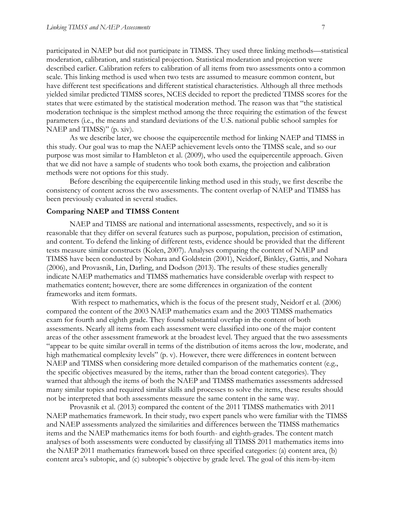participated in NAEP but did not participate in TIMSS. They used three linking methods—statistical moderation, calibration, and statistical projection. Statistical moderation and projection were described earlier. Calibration refers to calibration of all items from two assessments onto a common scale. This linking method is used when two tests are assumed to measure common content, but have different test specifications and different statistical characteristics. Although all three methods yielded similar predicted TIMSS scores, NCES decided to report the predicted TIMSS scores for the states that were estimated by the statistical moderation method. The reason was that "the statistical moderation technique is the simplest method among the three requiring the estimation of the fewest parameters (i.e., the means and standard deviations of the U.S. national public school samples for NAEP and TIMSS)" (p. xiv).

As we describe later, we choose the equipercentile method for linking NAEP and TIMSS in this study. Our goal was to map the NAEP achievement levels onto the TIMSS scale, and so our purpose was most similar to Hambleton et al. (2009), who used the equipercentile approach. Given that we did not have a sample of students who took both exams, the projection and calibration methods were not options for this study.

Before describing the equipercentile linking method used in this study, we first describe the consistency of content across the two assessments. The content overlap of NAEP and TIMSS has been previously evaluated in several studies.

#### **Comparing NAEP and TIMSS Content**

NAEP and TIMSS are national and international assessments, respectively, and so it is reasonable that they differ on several features such as purpose, population, precision of estimation, and content. To defend the linking of different tests, evidence should be provided that the different tests measure similar constructs (Kolen, 2007). Analyses comparing the content of NAEP and TIMSS have been conducted by Nohara and Goldstein (2001), Neidorf, Binkley, Gattis, and Nohara (2006), and Provasnik, Lin, Darling, and Dodson (2013). The results of these studies generally indicate NAEP mathematics and TIMSS mathematics have considerable overlap with respect to mathematics content; however, there are some differences in organization of the content frameworks and item formats.

With respect to mathematics, which is the focus of the present study, Neidorf et al. (2006) compared the content of the 2003 NAEP mathematics exam and the 2003 TIMSS mathematics exam for fourth and eighth grade. They found substantial overlap in the content of both assessments. Nearly all items from each assessment were classified into one of the major content areas of the other assessment framework at the broadest level. They argued that the two assessments "appear to be quite similar overall in terms of the distribution of items across the low, moderate, and high mathematical complexity levels" (p. v). However, there were differences in content between NAEP and TIMSS when considering more detailed comparison of the mathematics content (e.g., the specific objectives measured by the items, rather than the broad content categories). They warned that although the items of both the NAEP and TIMSS mathematics assessments addressed many similar topics and required similar skills and processes to solve the items, these results should not be interpreted that both assessments measure the same content in the same way.

Provasnik et al. (2013) compared the content of the 2011 TIMSS mathematics with 2011 NAEP mathematics framework. In their study, two expert panels who were familiar with the TIMSS and NAEP assessments analyzed the similarities and differences between the TIMSS mathematics items and the NAEP mathematics items for both fourth- and eighth-grades. The content match analyses of both assessments were conducted by classifying all TIMSS 2011 mathematics items into the NAEP 2011 mathematics framework based on three specified categories: (a) content area, (b) content area's subtopic, and (c) subtopic's objective by grade level. The goal of this item-by-item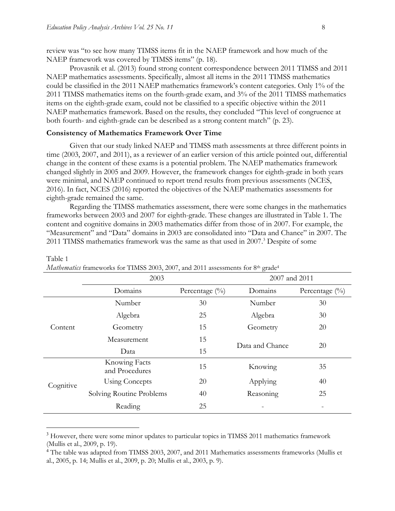$\overline{a}$ 

review was "to see how many TIMSS items fit in the NAEP framework and how much of the NAEP framework was covered by TIMSS items" (p. 18).

Provasnik et al. (2013) found strong content correspondence between 2011 TIMSS and 2011 NAEP mathematics assessments. Specifically, almost all items in the 2011 TIMSS mathematics could be classified in the 2011 NAEP mathematics framework's content categories. Only 1% of the 2011 TIMSS mathematics items on the fourth-grade exam, and 3% of the 2011 TIMSS mathematics items on the eighth-grade exam, could not be classified to a specific objective within the 2011 NAEP mathematics framework. Based on the results, they concluded "This level of congruence at both fourth- and eighth-grade can be described as a strong content match" (p. 23).

#### **Consistency of Mathematics Framework Over Time**

Given that our study linked NAEP and TIMSS math assessments at three different points in time (2003, 2007, and 2011), as a reviewer of an earlier version of this article pointed out, differential change in the content of these exams is a potential problem. The NAEP mathematics framework changed slightly in 2005 and 2009. However, the framework changes for eighth-grade in both years were minimal, and NAEP continued to report trend results from previous assessments (NCES, 2016). In fact, NCES (2016) reported the objectives of the NAEP mathematics assessments for eighth-grade remained the same.

Regarding the TIMSS mathematics assessment, there were some changes in the mathematics frameworks between 2003 and 2007 for eighth-grade. These changes are illustrated in Table 1. The content and cognitive domains in 2003 mathematics differ from those of in 2007. For example, the "Measurement" and "Data" domains in 2003 are consolidated into "Data and Chance" in 2007. The 2011 TIMSS mathematics framework was the same as that used in 2007. <sup>3</sup> Despite of some

|           | 2003                            |                   | 2007 and 2011   |                   |  |  |
|-----------|---------------------------------|-------------------|-----------------|-------------------|--|--|
|           | Domains                         | Percentage $(\%)$ | Domains         | Percentage $(\%)$ |  |  |
|           | Number                          | 30                | Number          | 30                |  |  |
|           | Algebra                         | 25                | Algebra         | 30                |  |  |
| Content   | Geometry                        | 15                | Geometry        | 20                |  |  |
|           | Measurement                     | 15                | Data and Chance |                   |  |  |
|           | Data                            | 15                |                 | 20                |  |  |
|           | Knowing Facts<br>and Procedures | 15                | Knowing         | 35                |  |  |
| Cognitive | <b>Using Concepts</b>           | 20                | Applying        | 40                |  |  |
|           | Solving Routine Problems        | 40                | Reasoning       | 25                |  |  |
|           | Reading                         | 25                |                 |                   |  |  |

#### Table 1 *Mathematics* frameworks for TIMSS 2003, 2007, and 2011 assessments for 8<sup>th</sup> grade<sup>4</sup>

<sup>&</sup>lt;sup>3</sup> However, there were some minor updates to particular topics in TIMSS 2011 mathematics framework (Mullis et al., 2009, p. 19).

<sup>4</sup> The table was adapted from TIMSS 2003, 2007, and 2011 Mathematics assessments frameworks (Mullis et al., 2005, p. 14; Mullis et al., 2009, p. 20; Mullis et al., 2003, p. 9).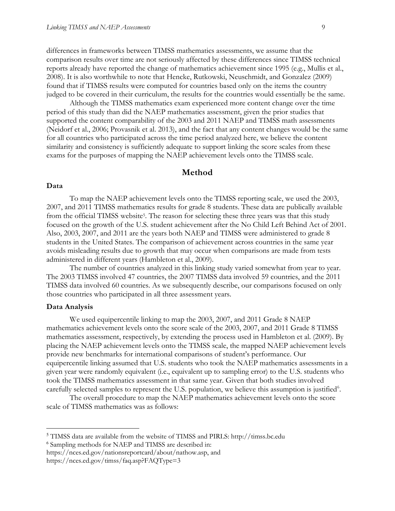differences in frameworks between TIMSS mathematics assessments, we assume that the comparison results over time are not seriously affected by these differences since TIMSS technical reports already have reported the change of mathematics achievement since 1995 (e.g., Mullis et al., 2008). It is also worthwhile to note that Hencke, Rutkowski, Neuschmidt, and Gonzalez (2009) found that if TIMSS results were computed for countries based only on the items the country judged to be covered in their curriculum, the results for the countries would essentially be the same.

Although the TIMSS mathematics exam experienced more content change over the time period of this study than did the NAEP mathematics assessment, given the prior studies that supported the content comparability of the 2003 and 2011 NAEP and TIMSS math assessments (Neidorf et al., 2006; Provasnik et al. 2013), and the fact that any content changes would be the same for all countries who participated across the time period analyzed here, we believe the content similarity and consistency is sufficiently adequate to support linking the score scales from these exams for the purposes of mapping the NAEP achievement levels onto the TIMSS scale.

#### **Method**

#### **Data**

To map the NAEP achievement levels onto the TIMSS reporting scale, we used the 2003, 2007, and 2011 TIMSS mathematics results for grade 8 students. These data are publically available from the official TIMSS website<sup>5</sup>. The reason for selecting these three years was that this study focused on the growth of the U.S. student achievement after the No Child Left Behind Act of 2001. Also, 2003, 2007, and 2011 are the years both NAEP and TIMSS were administered to grade 8 students in the United States. The comparison of achievement across countries in the same year avoids misleading results due to growth that may occur when comparisons are made from tests administered in different years (Hambleton et al., 2009).

The number of countries analyzed in this linking study varied somewhat from year to year. The 2003 TIMSS involved 47 countries, the 2007 TIMSS data involved 59 countries, and the 2011 TIMSS data involved 60 countries. As we subsequently describe, our comparisons focused on only those countries who participated in all three assessment years.

#### **Data Analysis**

 $\overline{a}$ 

We used equipercentile linking to map the 2003, 2007, and 2011 Grade 8 NAEP mathematics achievement levels onto the score scale of the 2003, 2007, and 2011 Grade 8 TIMSS mathematics assessment, respectively, by extending the process used in Hambleton et al. (2009). By placing the NAEP achievement levels onto the TIMSS scale, the mapped NAEP achievement levels provide new benchmarks for international comparisons of student's performance. Our equipercentile linking assumed that U.S. students who took the NAEP mathematics assessments in a given year were randomly equivalent (i.e., equivalent up to sampling error) to the U.S. students who took the TIMSS mathematics assessment in that same year. Given that both studies involved carefully selected samples to represent the U.S. population, we believe this assumption is justified<sup>6</sup>.

The overall procedure to map the NAEP mathematics achievement levels onto the score scale of TIMSS mathematics was as follows:

<sup>6</sup> Sampling methods for NAEP and TIMSS are described in:

<sup>5</sup> TIMSS data are available from the website of TIMSS and PIRLS: http://timss.bc.edu

https://nces.ed.gov/nationsreportcard/about/nathow.asp, and

https://nces.ed.gov/timss/faq.asp?FAQType=3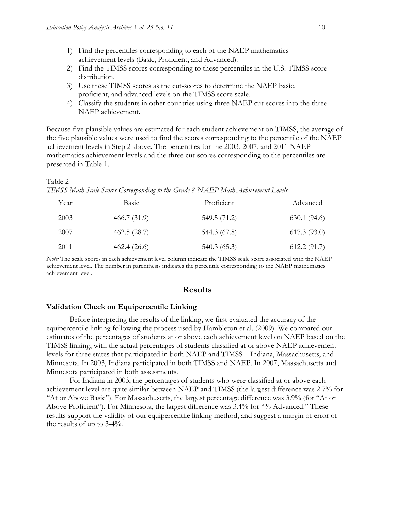- 1) Find the percentiles corresponding to each of the NAEP mathematics achievement levels (Basic, Proficient, and Advanced).
- 2) Find the TIMSS scores corresponding to these percentiles in the U.S. TIMSS score distribution.
- 3) Use these TIMSS scores as the cut-scores to determine the NAEP basic, proficient, and advanced levels on the TIMSS score scale.
- 4) Classify the students in other countries using three NAEP cut-scores into the three NAEP achievement.

Because five plausible values are estimated for each student achievement on TIMSS, the average of the five plausible values were used to find the scores corresponding to the percentile of the NAEP achievement levels in Step 2 above. The percentiles for the 2003, 2007, and 2011 NAEP mathematics achievement levels and the three cut-scores corresponding to the percentiles are presented in Table 1.

Table 2 *TIMSS Math Scale Scores Corresponding to the Grade 8 NAEP Math Achievement Levels*

| Year | Basic       | Proficient   | Advanced    |
|------|-------------|--------------|-------------|
| 2003 | 466.7(31.9) | 549.5 (71.2) | 630.1(94.6) |
| 2007 | 462.5(28.7) | 544.3 (67.8) | 617.3(93.0) |
| 2011 | 462.4(26.6) | 540.3(65.3)  | 612.2(91.7) |

*Note:* The scale scores in each achievement level column indicate the TIMSS scale score associated with the NAEP achievement level. The number in parenthesis indicates the percentile corresponding to the NAEP mathematics achievement level.

#### **Results**

#### **Validation Check on Equipercentile Linking**

Before interpreting the results of the linking, we first evaluated the accuracy of the equipercentile linking following the process used by Hambleton et al. (2009). We compared our estimates of the percentages of students at or above each achievement level on NAEP based on the TIMSS linking, with the actual percentages of students classified at or above NAEP achievement levels for three states that participated in both NAEP and TIMSS—Indiana, Massachusetts, and Minnesota. In 2003, Indiana participated in both TIMSS and NAEP. In 2007, Massachusetts and Minnesota participated in both assessments.

For Indiana in 2003, the percentages of students who were classified at or above each achievement level are quite similar between NAEP and TIMSS (the largest difference was 2.7% for "At or Above Basic"). For Massachusetts, the largest percentage difference was 3.9% (for "At or Above Proficient"). For Minnesota, the largest difference was 3.4% for "% Advanced." These results support the validity of our equipercentile linking method, and suggest a margin of error of the results of up to 3-4%.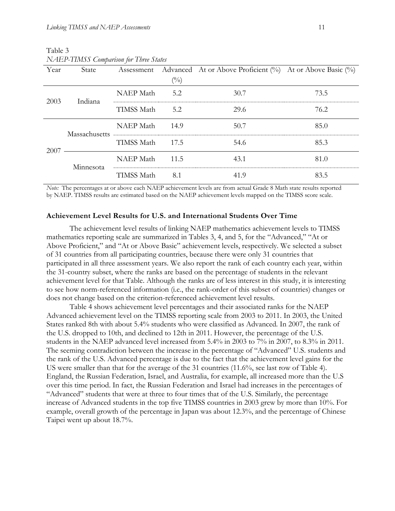| Year            | State         |                  |                   | Assessment Advanced At or Above Proficient $(\%)$ At or Above Basic $(\%)$ |      |
|-----------------|---------------|------------------|-------------------|----------------------------------------------------------------------------|------|
|                 |               |                  | $(^{0}\!/_{\!0})$ |                                                                            |      |
| 2003<br>Indiana |               | NAEP Math        | 5.2               | 30.7                                                                       | 73.5 |
|                 |               | TIMSS Math       | 5.2               | 29.6                                                                       | 76.2 |
|                 | Massachusetts | <b>NAEP</b> Math | 14.9              | 50.7                                                                       | 85.0 |
| 2007            |               | TIMSS Math       | 17.5              | 54.6                                                                       | 85.3 |
|                 | Minnesota     | NAEP Math        | 11.5              | 43.1                                                                       | 81.0 |
|                 |               | TIMSS Math       | 8.1               | 41.9                                                                       | 83.5 |

Table 3 *NAEP-TIMSS Comparison for Three States*

*Note:* The percentages at or above each NAEP achievement levels are from actual Grade 8 Math state results reported by NAEP. TIMSS results are estimated based on the NAEP achievement levels mapped on the TIMSS score scale.

#### **Achievement Level Results for U.S. and International Students Over Time**

The achievement level results of linking NAEP mathematics achievement levels to TIMSS mathematics reporting scale are summarized in Tables 3, 4, and 5, for the "Advanced," "At or Above Proficient," and "At or Above Basic" achievement levels, respectively. We selected a subset of 31 countries from all participating countries, because there were only 31 countries that participated in all three assessment years. We also report the rank of each country each year, within the 31-country subset, where the ranks are based on the percentage of students in the relevant achievement level for that Table. Although the ranks are of less interest in this study, it is interesting to see how norm-referenced information (i.e., the rank-order of this subset of countries) changes or does not change based on the criterion-referenced achievement level results.

Table 4 shows achievement level percentages and their associated ranks for the NAEP Advanced achievement level on the TIMSS reporting scale from 2003 to 2011. In 2003, the United States ranked 8th with about 5.4% students who were classified as Advanced. In 2007, the rank of the U.S. dropped to 10th, and declined to 12th in 2011. However, the percentage of the U.S. students in the NAEP advanced level increased from 5.4% in 2003 to 7% in 2007, to 8.3% in 2011. The seeming contradiction between the increase in the percentage of "Advanced" U.S. students and the rank of the U.S. Advanced percentage is due to the fact that the achievement level gains for the US were smaller than that for the average of the 31 countries (11.6%, see last row of Table 4). England, the Russian Federation, Israel, and Australia, for example, all increased more than the U.S over this time period. In fact, the Russian Federation and Israel had increases in the percentages of "Advanced" students that were at three to four times that of the U.S. Similarly, the percentage increase of Advanced students in the top five TIMSS countries in 2003 grew by more than 10%. For example, overall growth of the percentage in Japan was about 12.3%, and the percentage of Chinese Taipei went up about 18.7%.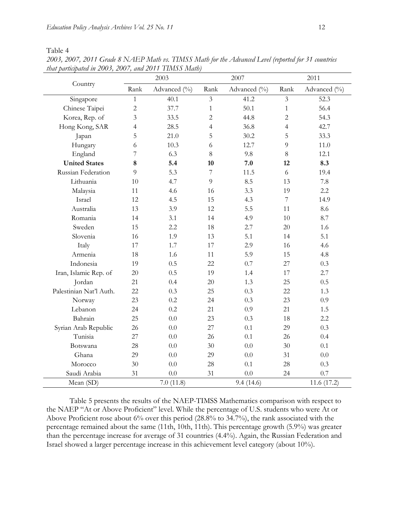Table 4

|                         | 2003                   |              | 2007           |              | 2011           |               |
|-------------------------|------------------------|--------------|----------------|--------------|----------------|---------------|
| Country                 | Rank                   | Advanced (%) | Rank           | Advanced (%) | Rank           | Advanced (%)  |
| Singapore               | $\mathbf{1}$           | 40.1         | $\overline{3}$ | 41.2         | $\mathfrak{Z}$ | 52.3          |
| Chinese Taipei          | $\overline{c}$<br>37.7 |              | $\mathbf{1}$   | 50.1         | $\mathbf{1}$   | 56.4          |
| Korea, Rep. of          | 3                      | 33.5         | $\overline{c}$ | 44.8         | $\overline{c}$ | 54.3          |
| Hong Kong, SAR          | 4                      | 28.5         | 4              | 36.8         | $\overline{4}$ | 42.7          |
| Japan                   | 5                      | 21.0         | 5              | 30.2         | 5              | 33.3          |
| Hungary                 | 6                      | 10.3         | 6              | 12.7         | 9              | 11.0          |
| England                 | $\overline{7}$         | 6.3          | 8              | 9.8          | $8\,$          | 12.1          |
| <b>United States</b>    | 8                      | 5.4          | 10             | 7.0          | 12             | 8.3           |
| Russian Federation      | 9                      | 5.3          | $\overline{7}$ | 11.5         | 6              | 19.4          |
| Lithuania               | 10                     | 4.7          | 9              | 8.5          | 13             | 7.8           |
| Malaysia                | 11                     | 4.6          | 16             | 3.3          | 19             | 2.2           |
| Israel                  | 12                     | 4.5          | 15             | 4.3          | $\overline{7}$ | 14.9          |
| Australia               | 13                     | 3.9          | 12             | 5.5          | 11             | 8.6           |
| Romania                 | 14                     | 3.1          | 14             | 4.9          | 10             | 8.7           |
| Sweden                  | 15                     | 2.2          | 18             | 2.7          | 20             | 1.6           |
| Slovenia                | 16                     | 1.9          | 13             | 5.1          | 14             | 5.1           |
| Italy                   | 17                     | 1.7          | 17             | 2.9          | 16             | 4.6           |
| Armenia                 | 18                     | 1.6          | 11             | 5.9          | 15             | 4.8           |
| Indonesia               | 19                     | 0.5          | 22             | 0.7          | 27             | 0.3           |
| Iran, Islamic Rep. of   | 20                     | 0.5          | 19             | 1.4          | 17             | 2.7           |
| Jordan                  | 21                     | 0.4          | 20             | 1.3          | 25             | 0.5           |
| Palestinian Nat'l Auth. | 22                     | 0.3          | 25             | 0.3          | 22             | 1.3           |
| Norway                  | 23                     | 0.2          | 24             | 0.3          | 23             | 0.9           |
| Lebanon                 | 24                     | 0.2          | 21             | 0.9          | 21             | 1.5           |
| Bahrain                 | 25                     | 0.0          | 23             | 0.3          | 18             | 2.2           |
| Syrian Arab Republic    | 26                     | 0.0          | 27             | 0.1          | 29             | 0.3           |
| Tunisia                 | 27                     | 0.0          | 26             | 0.1          | 26             | 0.4           |
| Botswana                | 28                     | 0.0          | 30             | 0.0          | 30             | 0.1           |
| Ghana                   | 29                     | 0.0          | 29             | 0.0          | 31             | 0.0           |
| Morocco                 | 30                     | 0.0          | 28             | 0.1          | 28             | 0.3           |
| Saudi Arabia            | 31                     | 0.0          | 31             | 0.0          | 24             | $0.7\,$       |
| Mean (SD)               |                        | 7.0(11.8)    |                | 9.4(14.6)    |                | 11.6 $(17.2)$ |

*2003, 2007, 2011 Grade 8 NAEP Math vs. TIMSS Math for the Advanced Level (reported for 31 countries that participated in 2003, 2007, and 2011 TIMSS Math)*

Table 5 presents the results of the NAEP-TIMSS Mathematics comparison with respect to the NAEP "At or Above Proficient" level. While the percentage of U.S. students who were At or Above Proficient rose about 6% over this period (28.8% to 34.7%), the rank associated with the percentage remained about the same (11th, 10th, 11th). This percentage growth (5.9%) was greater than the percentage increase for average of 31 countries (4.4%). Again, the Russian Federation and Israel showed a larger percentage increase in this achievement level category (about 10%).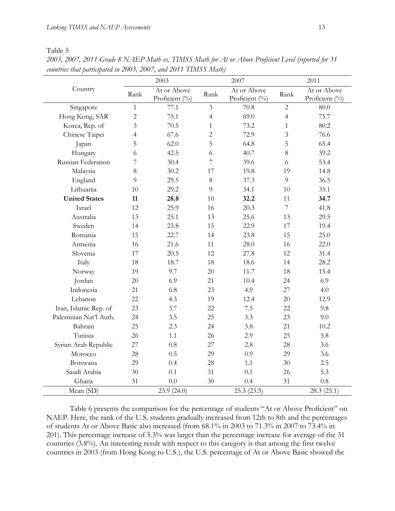Table 5

|                         | 2003           |                               | 2007           |                               | 2011           |                               |
|-------------------------|----------------|-------------------------------|----------------|-------------------------------|----------------|-------------------------------|
| Country                 | Rank           | At or Above<br>Proficient (%) | Rank           | At or Above<br>Proficient (%) | Rank           | At or Above<br>Proficient (%) |
| Singapore               | $\mathbf{1}$   | 77.1                          | 3              | 70.8                          | $\overline{2}$ | 80.0                          |
| Hong Kong, SAR          | $\overline{2}$ | 75.1                          | 4              | 69.0                          | $\overline{4}$ | 75.7                          |
| Korea, Rep. of          | 3              | 70.5                          | $\mathbf{1}$   | 73.2                          | $\mathbf{1}$   | 80.2                          |
| Chinese Taipei          | 4              | 67.6                          | $\overline{c}$ | 72.9                          | 3              | 76.6                          |
| Japan                   | 5              | 62.0                          | 5              | 64.8                          | 5              | 65.4                          |
| Hungary                 | 6              | 42.5                          | 6              | 40.7                          | 8              | 39.2                          |
| Russian Federation      | 7              | 30.4                          | 7              | 39.6                          | 6              | 53.4                          |
| Malaysia                | 8              | 30.2                          | 17             | 19.8                          | 19             | 14.8                          |
| England                 | 9              | 29.5                          | 8              | 37.3                          | 9              | 36.5                          |
| Lithuania               | 10             | 29.2                          | 9              | 34.1                          | 10             | 35.1                          |
| <b>United States</b>    | 11             | 28.8                          | 10             | 32.2                          | 11             | 34.7                          |
| Israel                  | 12             | 25.9                          | 16             | 20.3                          | $\overline{7}$ | 41.8                          |
| Australia               | 13             | 25.1                          | 13             | 25.6                          | 13             | 29.5                          |
| Sweden                  | 14             | 23.8                          | 15             | 22.9                          | 17             | 19.4                          |
| Romania                 | 15             | 22.7                          | 14             | 23.8                          | 15             | 25.0                          |
| Armenia                 | 16             | 21.6                          | 11             | 28.0                          | 16             | 22.0                          |
| Slovenia                | 17             | 20.5                          | 12             | 27.8                          | 12             | 31.4                          |
| Italy                   | 18             | 18.7                          | 18             | 18.6                          | 14             | 28.2                          |
| Norway                  | 19             | 9.7                           | 20             | 11.7                          | 18             | 15.4                          |
| Jordan                  | $20\,$         | 6.9                           | 21             | 10.4                          | 24             | 6.9                           |
| Indonesia               | 21             | 6.8                           | 23             | 4.9                           | 27             | 4.0                           |
| Lebanon                 | 22             | 4.3                           | 19             | 12.4                          | 20             | 12.9                          |
| Iran, Islamic Rep. of   | 23             | 3.7                           | 22             | 7.5                           | 22             | 9.8                           |
| Palestinian Nat'l Auth. | 24             | 3.5                           | 25             | 3.3                           | 23             | 9.0                           |
| Bahrain                 | 25             | 2.3                           | 24             | 3.8                           | 21             | 10.2                          |
| Tunisia                 | 26             | 1.1                           | 26             | 2.9                           | 25             | 5.8                           |
| Syrian Arab Republic    | 27             | 0.8                           | 27             | 2.8                           | 28             | 3.6                           |
| Morocco                 | 28             | 0.5                           | 29             | 0.9                           | 29             | 3.6                           |
| Botswana                | 29             | 0.4                           | 28             | 1.1                           | 30             | 2.5                           |
| Saudi Arabia            | 30             | 0.1                           | 31             | 0.1                           | 26             | 5.3                           |
| Ghana                   | 31             | 0.0                           | 30             | 0.4                           | 31             | 0.8                           |
| Mean (SD)               |                | 23.9 (24.0)                   |                | 25.3(23.5)                    |                | 28.3(25.1)                    |

*2003, 2007, 2011 Grade 8 NAEP Math vs. TIMSS Math for At or Above Proficient Level (reported for 31 countries that participated in 2003, 2007, and 2011 TIMSS Math)*

Table 6 presents the comparison for the percentage of students "At or Above Proficient" on NAEP. Here, the rank of the U.S. students gradually increased from 12th to 8th and the percentages of students At or Above Basic also increased (from 68.1% in 2003 to 71.3% in 2007 to 73.4% in 201). This percentage increase of 5.3% was larger than the percentage increase for average of the 31 countries (3.8%). An interesting result with respect to this category is that among the first twelve countries in 2003 (from Hong Kong to U.S.), the U.S. percentage of At or Above Basic showed the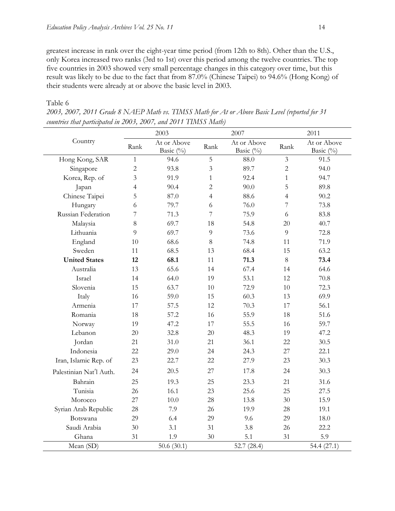greatest increase in rank over the eight-year time period (from 12th to 8th). Other than the U.S., only Korea increased two ranks (3rd to 1st) over this period among the twelve countries. The top five countries in 2003 showed very small percentage changes in this category over time, but this result was likely to be due to the fact that from 87.0% (Chinese Taipei) to 94.6% (Hong Kong) of their students were already at or above the basic level in 2003.

|                         |                | 2003                     |                | 2007                     |                | 2011                     |  |
|-------------------------|----------------|--------------------------|----------------|--------------------------|----------------|--------------------------|--|
| Country                 | Rank           | At or Above<br>Basic (%) | Rank           | At or Above<br>Basic (%) | Rank           | At or Above<br>Basic (%) |  |
| Hong Kong, SAR          | $\mathbf{1}$   | 94.6                     | 5              | 88.0                     | $\overline{3}$ | 91.5                     |  |
| Singapore               | $\sqrt{2}$     | 93.8                     | 3              | 89.7                     | $\overline{2}$ | 94.0                     |  |
| Korea, Rep. of          | 3              | 91.9                     | $\mathbf{1}$   | 92.4                     | $\mathbf{1}$   | 94.7                     |  |
| Japan                   | $\overline{4}$ | 90.4                     | $\overline{2}$ | 90.0                     | 5              | 89.8                     |  |
| Chinese Taipei          | 5              | 87.0                     | $\overline{4}$ | 88.6                     | $\overline{4}$ | 90.2                     |  |
| Hungary                 | 6              | 79.7                     | 6              | 76.0                     | 7              | 73.8                     |  |
| Russian Federation      | 7              | 71.3                     | 7              | 75.9                     | 6              | 83.8                     |  |
| Malaysia                | 8              | 69.7                     | 18             | 54.8                     | 20             | 40.7                     |  |
| Lithuania               | 9              | 69.7                     | 9              | 73.6                     | 9              | 72.8                     |  |
| England                 | 10             | 68.6                     | $8\,$          | 74.8                     | 11             | 71.9                     |  |
| Sweden                  | 11             | 68.5                     | 13             | 68.4                     | 15             | 63.2                     |  |
| <b>United States</b>    | 12             | 68.1                     | 11             | 71.3                     | $8\,$          | 73.4                     |  |
| Australia               | 13             | 65.6                     | 14             | 67.4                     | 14             | 64.6                     |  |
| Israel                  | 14             | 64.0                     | 19             | 53.1                     | 12             | 70.8                     |  |
| Slovenia                | 15             | 63.7                     | 10             | 72.9                     | 10             | 72.3                     |  |
| Italy                   | 16             | 59.0                     | 15             | 60.3                     | 13             | 69.9                     |  |
| Armenia                 | 17             | 57.5                     | 12             | 70.3                     | 17             | 56.1                     |  |
| Romania                 | 18             | 57.2                     | 16             | 55.9                     | 18             | 51.6                     |  |
| Norway                  | 19             | 47.2                     | 17             | 55.5                     | 16             | 59.7                     |  |
| Lebanon                 | 20             | 32.8                     | 20             | 48.3                     | 19             | 47.2                     |  |
| Jordan                  | 21             | 31.0                     | 21             | 36.1                     | 22             | 30.5                     |  |
| Indonesia               | 22             | 29.0                     | 24             | 24.3                     | 27             | 22.1                     |  |
| Iran, Islamic Rep. of   | 23             | 22.7                     | 22             | 27.9                     | 23             | 30.3                     |  |
| Palestinian Nat'l Auth. | 24             | 20.5                     | 27             | 17.8                     | 24             | 30.3                     |  |
| Bahrain                 | 25             | 19.3                     | 25             | 23.3                     | 21             | 31.6                     |  |
| Tunisia                 | 26             | 16.1                     | 23             | 25.6                     | 25             | 27.5                     |  |
| Morocco                 | 27             | 10.0                     | 28             | 13.8                     | 30             | 15.9                     |  |
| Syrian Arab Republic    | 28             | 7.9                      | 26             | 19.9                     | 28             | 19.1                     |  |
| Botswana                | 29             | 6.4                      | 29             | 9.6                      | 29             | 18.0                     |  |
| Saudi Arabia            | 30             | 3.1                      | 31             | 3.8                      | 26             | 22.2                     |  |
| Ghana                   | 31             | 1.9                      | 30             | 5.1                      | 31             | 5.9                      |  |
| Mean (SD)               |                | 50.6 $(30.1)$            |                | 52.7 $(28.4)$            |                | 54.4 $(27.1)$            |  |

#### Table 6

*2003, 2007, 2011 Grade 8 NAEP Math vs. TIMSS Math for At or Above Basic Level (reported for 31 countries that participated in 2003, 2007, and 2011 TIMSS Math)*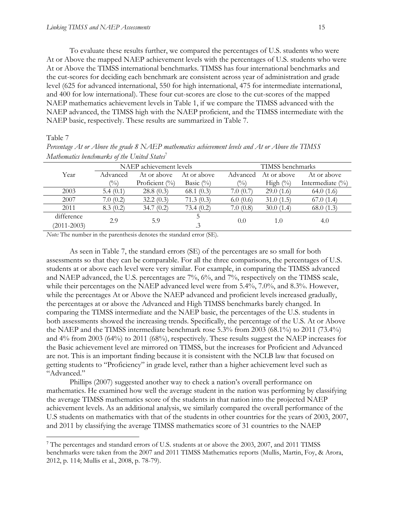To evaluate these results further, we compared the percentages of U.S. students who were At or Above the mapped NAEP achievement levels with the percentages of U.S. students who were At or Above the TIMSS international benchmarks. TIMSS has four international benchmarks and the cut-scores for deciding each benchmark are consistent across year of administration and grade level (625 for advanced international, 550 for high international, 475 for intermediate international, and 400 for low international). These four cut-scores are close to the cut-scores of the mapped NAEP mathematics achievement levels in Table 1, if we compare the TIMSS advanced with the NAEP advanced, the TIMSS high with the NAEP proficient, and the TIMSS intermediate with the NAEP basic, respectively. These results are summarized in Table 7.

#### Table 7

 $\overline{a}$ 

| Mathematics benchmarks of the United States <sup>7</sup> |                |                                       |              |                 |                  |                      |  |  |
|----------------------------------------------------------|----------------|---------------------------------------|--------------|-----------------|------------------|----------------------|--|--|
|                                                          |                | NAEP achievement levels               |              |                 | TIMSS benchmarks |                      |  |  |
| Year                                                     | Advanced       | At or above                           | At or above  | Advanced        | At or above      | At or above          |  |  |
|                                                          | $\binom{0}{0}$ | Proficient $\left(\frac{0}{0}\right)$ | Basic $(\%)$ | $\frac{(0)}{0}$ | High $(\%)$      | Intermediate $(\% )$ |  |  |
| 2003                                                     | 5.4(0.1)       | 28.8(0.3)                             | 68.1(0.3)    | 7.0(0.7)        | 29.0(1.6)        | 64.0 $(1.6)$         |  |  |
| 2007                                                     | 7.0(0.2)       | 32.2(0.3)                             | 71.3(0.3)    | 6.0(0.6)        | 31.0(1.5)        | 67.0(1.4)            |  |  |
| 2011                                                     | 8.3(0.2)       | 34.7(0.2)                             | 73.4(0.2)    | 7.0(0.8)        | 30.0(1.4)        | 68.0 $(1.3)$         |  |  |
| difference                                               |                |                                       |              |                 |                  |                      |  |  |
| $(2011 - 2003)$                                          | 2.9            | 5.9                                   | $\cdot$ 3    | 0.0             | 1.0              | 4.0                  |  |  |

*Percentage At or Above the grade 8 NAEP mathematics achievement levels and At or Above the TIMSS* 

*Note:* The number in the parenthesis denotes the standard error (SE).

As seen in Table 7, the standard errors (SE) of the percentages are so small for both assessments so that they can be comparable. For all the three comparisons, the percentages of U.S. students at or above each level were very similar. For example, in comparing the TIMSS advanced and NAEP advanced, the U.S. percentages are 7%, 6%, and 7%, respectively on the TIMSS scale, while their percentages on the NAEP advanced level were from 5.4%, 7.0%, and 8.3%. However, while the percentages At or Above the NAEP advanced and proficient levels increased gradually, the percentages at or above the Advanced and High TIMSS benchmarks barely changed. In comparing the TIMSS intermediate and the NAEP basic, the percentages of the U.S. students in both assessments showed the increasing trends. Specifically, the percentage of the U.S. At or Above the NAEP and the TIMSS intermediate benchmark rose 5.3% from 2003 (68.1%) to 2011 (73.4%) and 4% from 2003 (64%) to 2011 (68%), respectively. These results suggest the NAEP increases for the Basic achievement level are mirrored on TIMSS, but the increases for Proficient and Advanced are not. This is an important finding because it is consistent with the NCLB law that focused on getting students to "Proficiency" in grade level, rather than a higher achievement level such as "Advanced."

Phillips (2007) suggested another way to check a nation's overall performance on mathematics. He examined how well the average student in the nation was performing by classifying the average TIMSS mathematics score of the students in that nation into the projected NAEP achievement levels. As an additional analysis, we similarly compared the overall performance of the U.S students on mathematics with that of the students in other countries for the years of 2003, 2007, and 2011 by classifying the average TIMSS mathematics score of 31 countries to the NAEP

<sup>&</sup>lt;sup>7</sup> The percentages and standard errors of U.S. students at or above the 2003, 2007, and 2011 TIMSS benchmarks were taken from the 2007 and 2011 TIMSS Mathematics reports (Mullis, Martin, Foy, & Arora, 2012, p. 114; Mullis et al., 2008, p. 78-79).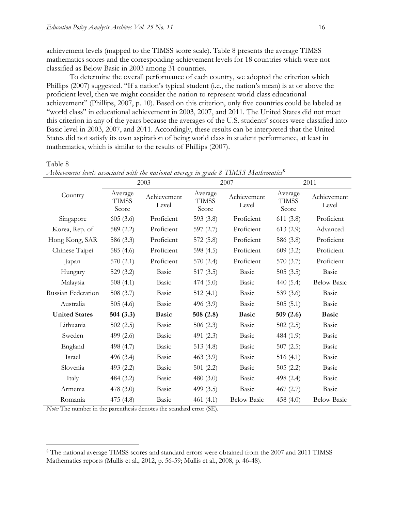achievement levels (mapped to the TIMSS score scale). Table 8 presents the average TIMSS mathematics scores and the corresponding achievement levels for 18 countries which were not classified as Below Basic in 2003 among 31 countries.

To determine the overall performance of each country, we adopted the criterion which Phillips (2007) suggested. "If a nation's typical student (i.e., the nation's mean) is at or above the proficient level, then we might consider the nation to represent world class educational achievement" (Phillips, 2007, p. 10). Based on this criterion, only five countries could be labeled as "world class" in educational achievement in 2003, 2007, and 2011. The United States did not meet this criterion in any of the years because the averages of the U.S. students' scores were classified into Basic level in 2003, 2007, and 2011. Accordingly, these results can be interpreted that the United States did not satisfy its own aspiration of being world class in student performance, at least in mathematics, which is similar to the results of Phillips (2007).

Table 8

 $\overline{a}$ 

| Achievement levels associated with the national average in grade 8 TIMSS Mathematics <sup>8</sup> |  |  |  |  |
|---------------------------------------------------------------------------------------------------|--|--|--|--|
|                                                                                                   |  |  |  |  |

|                      |                                  | 2003                 |                                  | 2007                 | 2011                             |                      |  |
|----------------------|----------------------------------|----------------------|----------------------------------|----------------------|----------------------------------|----------------------|--|
| Country              | Average<br><b>TIMSS</b><br>Score | Achievement<br>Level | Average<br><b>TIMSS</b><br>Score | Achievement<br>Level | Average<br><b>TIMSS</b><br>Score | Achievement<br>Level |  |
| Singapore            | 605(3.6)                         | Proficient           | 593 $(3.8)$                      | Proficient           | 611(3.8)                         | Proficient           |  |
| Korea, Rep. of       | 589 (2.2)                        | Proficient           | 597 $(2.7)$                      | Proficient           | 613(2.9)                         | Advanced             |  |
| Hong Kong, SAR       | 586 (3.3)                        | Proficient           | 572(5.8)                         | Proficient           | 586 (3.8)                        | Proficient           |  |
| Chinese Taipei       | 585 (4.6)                        | Proficient           | 598 (4.5)                        | Proficient           | 609(3.2)                         | Proficient           |  |
| Japan                | 570(2.1)                         | Proficient           | 570(2.4)                         | Proficient           | 570 (3.7)                        | Proficient           |  |
| Hungary              | 529 (3.2)                        | Basic                | 517(3.5)                         | Basic                | 505(3.5)                         | Basic                |  |
| Malaysia             | 508 $(4.1)$                      | Basic                | 474(5.0)                         | Basic                | 440 $(5.4)$                      | <b>Below Basic</b>   |  |
| Russian Federation   | 508 $(3.7)$                      | Basic                | 512(4.1)                         | Basic                | 539 (3.6)                        | Basic                |  |
| Australia            | 505 $(4.6)$                      | <b>Basic</b>         | 496 $(3.9)$                      | Basic                | 505(5.1)                         | <b>Basic</b>         |  |
| <b>United States</b> | 504(3.3)                         | <b>Basic</b>         | 508 $(2.8)$                      | <b>Basic</b>         | 509(2.6)                         | <b>Basic</b>         |  |
| Lithuania            | 502(2.5)                         | Basic                | 506 $(2.3)$                      | Basic                | 502(2.5)                         | Basic                |  |
| Sweden               | 499 (2.6)                        | Basic                | 491 (2.3)                        | Basic                | 484 (1.9)                        | Basic                |  |
| England              | 498 (4.7)                        | Basic                | 513 $(4.8)$                      | Basic                | 507(2.5)                         | Basic                |  |
| Israel               | 496 (3.4)                        | Basic                | 463(3.9)                         | Basic                | 516 $(4.1)$                      | Basic                |  |
| Slovenia             | 493 (2.2)                        | Basic                | 501(2.2)                         | Basic                | 505(2.2)                         | Basic                |  |
| Italy                | 484 (3.2)                        | Basic                | 480 $(3.0)$                      | Basic                | 498 (2.4)                        | Basic                |  |
| Armenia              | 478 (3.0)                        | Basic                | 499 $(3.5)$                      | Basic                | 467(2.7)                         | Basic                |  |
| Romania              | 475 (4.8)                        | Basic                | 461 $(4.1)$                      | <b>Below Basic</b>   | 458 $(4.0)$                      | <b>Below Basic</b>   |  |

*Note:* The number in the parenthesis denotes the standard error (SE).

<sup>8</sup> The national average TIMSS scores and standard errors were obtained from the 2007 and 2011 TIMSS Mathematics reports (Mullis et al., 2012, p. 56-59; Mullis et al., 2008, p. 46-48).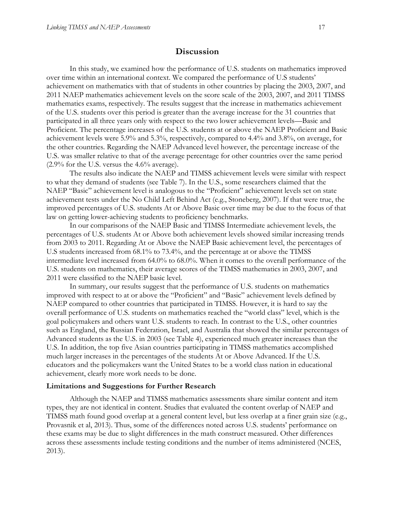## **Discussion**

In this study, we examined how the performance of U.S. students on mathematics improved over time within an international context. We compared the performance of U.S students' achievement on mathematics with that of students in other countries by placing the 2003, 2007, and 2011 NAEP mathematics achievement levels on the score scale of the 2003, 2007, and 2011 TIMSS mathematics exams, respectively. The results suggest that the increase in mathematics achievement of the U.S. students over this period is greater than the average increase for the 31 countries that participated in all three years only with respect to the two lower achievement levels—Basic and Proficient. The percentage increases of the U.S. students at or above the NAEP Proficient and Basic achievement levels were 5.9% and 5.3%, respectively, compared to 4.4% and 3.8%, on average, for the other countries. Regarding the NAEP Advanced level however, the percentage increase of the U.S. was smaller relative to that of the average percentage for other countries over the same period  $(2.9\%$  for the U.S. versus the 4.6% average).

The results also indicate the NAEP and TIMSS achievement levels were similar with respect to what they demand of students (see Table 7). In the U.S., some researchers claimed that the NAEP "Basic" achievement level is analogous to the "Proficient" achievement levels set on state achievement tests under the No Child Left Behind Act (e.g., Stoneberg, 2007). If that were true, the improved percentages of U.S. students At or Above Basic over time may be due to the focus of that law on getting lower-achieving students to proficiency benchmarks.

In our comparisons of the NAEP Basic and TIMSS Intermediate achievement levels, the percentages of U.S. students At or Above both achievement levels showed similar increasing trends from 2003 to 2011. Regarding At or Above the NAEP Basic achievement level, the percentages of U.S students increased from 68.1% to 73.4%, and the percentage at or above the TIMSS intermediate level increased from 64.0% to 68.0%. When it comes to the overall performance of the U.S. students on mathematics, their average scores of the TIMSS mathematics in 2003, 2007, and 2011 were classified to the NAEP basic level.

In summary, our results suggest that the performance of U.S. students on mathematics improved with respect to at or above the "Proficient" and "Basic" achievement levels defined by NAEP compared to other countries that participated in TIMSS. However, it is hard to say the overall performance of U.S. students on mathematics reached the "world class" level, which is the goal policymakers and others want U.S. students to reach. In contrast to the U.S., other countries such as England, the Russian Federation, Israel, and Australia that showed the similar percentages of Advanced students as the U.S. in 2003 (see Table 4), experienced much greater increases than the U.S. In addition, the top five Asian countries participating in TIMSS mathematics accomplished much larger increases in the percentages of the students At or Above Advanced. If the U.S. educators and the policymakers want the United States to be a world class nation in educational achievement, clearly more work needs to be done.

#### **Limitations and Suggestions for Further Research**

Although the NAEP and TIMSS mathematics assessments share similar content and item types, they are not identical in content. Studies that evaluated the content overlap of NAEP and TIMSS math found good overlap at a general content level, but less overlap at a finer grain size (e.g., Provasnik et al, 2013). Thus, some of the differences noted across U.S. students' performance on these exams may be due to slight differences in the math construct measured. Other differences across these assessments include testing conditions and the number of items administered (NCES, 2013).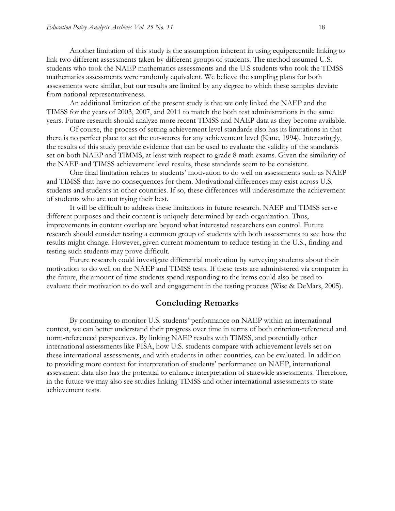Another limitation of this study is the assumption inherent in using equipercentile linking to link two different assessments taken by different groups of students. The method assumed U.S. students who took the NAEP mathematics assessments and the U.S students who took the TIMSS mathematics assessments were randomly equivalent. We believe the sampling plans for both assessments were similar, but our results are limited by any degree to which these samples deviate from national representativeness.

An additional limitation of the present study is that we only linked the NAEP and the TIMSS for the years of 2003, 2007, and 2011 to match the both test administrations in the same years. Future research should analyze more recent TIMSS and NAEP data as they become available.

Of course, the process of setting achievement level standards also has its limitations in that there is no perfect place to set the cut-scores for any achievement level (Kane, 1994). Interestingly, the results of this study provide evidence that can be used to evaluate the validity of the standards set on both NAEP and TIMMS, at least with respect to grade 8 math exams. Given the similarity of the NAEP and TIMSS achievement level results, these standards seem to be consistent.

One final limitation relates to students' motivation to do well on assessments such as NAEP and TIMSS that have no consequences for them. Motivational differences may exist across U.S. students and students in other countries. If so, these differences will underestimate the achievement of students who are not trying their best.

It will be difficult to address these limitations in future research. NAEP and TIMSS serve different purposes and their content is uniquely determined by each organization. Thus, improvements in content overlap are beyond what interested researchers can control. Future research should consider testing a common group of students with both assessments to see how the results might change. However, given current momentum to reduce testing in the U.S., finding and testing such students may prove difficult.

Future research could investigate differential motivation by surveying students about their motivation to do well on the NAEP and TIMSS tests. If these tests are administered via computer in the future, the amount of time students spend responding to the items could also be used to evaluate their motivation to do well and engagement in the testing process (Wise & DeMars, 2005).

#### **Concluding Remarks**

By continuing to monitor U.S. students' performance on NAEP within an international context, we can better understand their progress over time in terms of both criterion-referenced and norm-referenced perspectives. By linking NAEP results with TIMSS, and potentially other international assessments like PISA, how U.S. students compare with achievement levels set on these international assessments, and with students in other countries, can be evaluated. In addition to providing more context for interpretation of students' performance on NAEP, international assessment data also has the potential to enhance interpretation of statewide assessments. Therefore, in the future we may also see studies linking TIMSS and other international assessments to state achievement tests.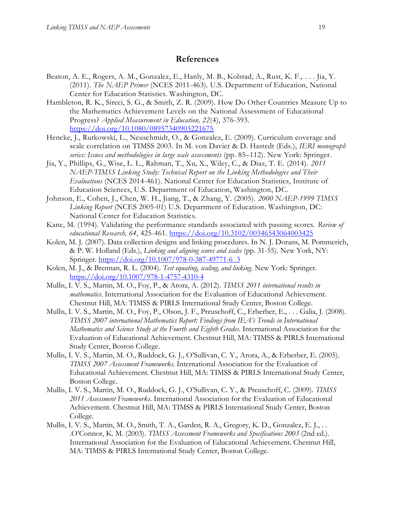#### **References**

- Beaton, A. E., Rogers, A. M., Gonzalez, E., Hanly, M. B., Kolstad, A., Rust, K. F., . . . Jia, Y. (2011). *The NAEP Primer* (NCES 2011-463). U.S. Department of Education, National Center for Education Statistics. Washington, DC.
- Hambleton, R. K., Sireci, S. G., & Smith, Z. R. (2009). How Do Other Countries Measure Up to the Mathematics Achievement Levels on the National Assessment of Educational Progress? *Applied Measurement in Education, 22*(4), 376-393. <https://doi.org/10.1080/08957340903221675>
- Hencke, J., Rutkowski, L., Neuschmidt, O., & Gonzalez, E. (2009). Curriculum coverage and scale correlation on TIMSS 2003. In M. von Davier & D. Hastedt (Eds.), *IERI monograph series: Issues and methodologies in large scale assessments* (pp. 85–112). New York: Springer.
- Jia, Y., Phillips, G., Wise, L. L., Rahman, T., Xu, X., Wiley, C., & Diaz, T. E. (2014). *2011 NAEP-TIMSS Linking Study: Technical Report on the Linking Methodologies and Their Evaluations* (NCES 2014-461). National Center for Education Statistics, Institute of Education Sciences, U.S. Department of Education, Washington, DC.
- Johnson, E., Cohen, J., Chen, W. H., Jiang, T., & Zhang, Y. (2005). *2000 NAEP-1999 TIMSS Linking Report* (NCES 2005-01) U.S. Department of Education. Washington, DC: National Center for Education Statistics.
- Kane, M. (1994). Validating the performance standards associated with passing scores. *Review of educational Research, 64*, 425-461. <https://doi.org/10.3102/00346543064003425>
- Kolen, M. J. (2007). Data collection designs and linking procedures. In N. J. Dorans, M. Pommerich, & P. W. Holland (Eds.), *Linking and aligning scores and scales* (pp. 31-55). New York, NY: Springer. [https://doi.org/10.1007/978-0-387-49771-6\\_3](https://doi.org/10.1007/978-0-387-49771-6_3)
- Kolen, M. J., & Brennan, R. L. (2004). *Test equating, scaling, and linking*. New York: Springer. <https://doi.org/10.1007/978-1-4757-4310-4>
- Mullis, I. V. S., Martin, M. O., Foy, P., & Arora, A. (2012). *TIMSS 2011 international results in mathematics*. International Association for the Evaluation of Educational Achievement. Chestnut Hill, MA: TIMSS & PIRLS International Study Center, Boston College.
- Mullis, I. V. S., Martin, M. O., Foy, P., Olson, J. F., Preuschoff, C., Erberber, E., . . . Galia, J. (2008). *TIMSS 2007 international Mathematics Report: Findings from IEA's Trends in International Mathematics and Science Study at the Fourth and Eighth Grades*. International Association for the Evaluation of Educational Achievement. Chestnut Hill, MA: TIMSS & PIRLS International Study Center, Boston College.
- Mullis, I. V. S., Martin, M. O., Ruddock, G. J., O'Sullivan, C. Y., Arora, A., & Erberber, E. (2005). *TIMSS 2007 Assessment Frameworks*. International Association for the Evaluation of Educational Achievement. Chestnut Hill, MA: TIMSS & PIRLS International Study Center, Boston College.
- Mullis, I. V. S., Martin, M. O., Ruddock, G. J., O'Sullivan, C. Y., & Preuschoff, C. (2009). *TIMSS 2011 Assessment Frameworks*. International Association for the Evaluation of Educational Achievement. Chestnut Hill, MA: TIMSS & PIRLS International Study Center, Boston College.
- Mullis, I. V. S., Martin, M. O., Smith, T. A., Garden, R. A., Gregory, K. D., Gonzalez, E. J., . . .O'Connor, K. M. (2003). *TIMSS Assessment Frameworks and Specifications 2003* (2nd ed.). International Association for the Evaluation of Educational Achievement. Chestnut Hill, MA: TIMSS & PIRLS International Study Center, Boston College.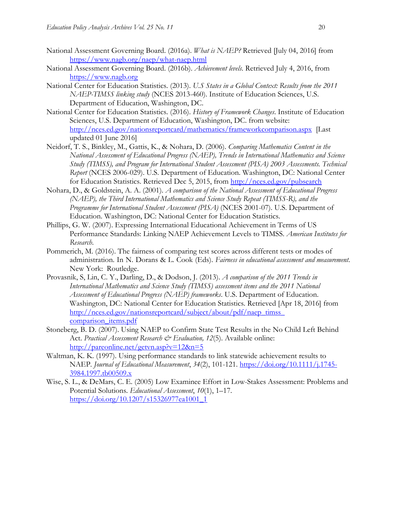- National Assessment Governing Board. (2016a). *What is NAEP?* Retrieved [July 04, 2016] from <https://www.nagb.org/naep/what-naep.html>
- National Assessment Governing Board. (2016b). *Achievement levels*. Retrieved July 4, 2016, from [https://www.nagb.org](https://www.nagb.org/)
- National Center for Education Statistics. (2013). *U.S States in a Global Context: Results from the 2011 NAEP-TIMSS linking study* (NCES 2013-460). Institute of Education Sciences, U.S. Department of Education, Washington, DC.
- National Center for Education Statistics. (2016). *History of Framework Changes*. Institute of Education Sciences, U.S. Department of Education, Washington, DC. from website: <http://nces.ed.gov/nationsreportcard/mathematics/frameworkcomparison.aspx> [Last updated 01 June 2016]
- Neidorf, T. S., Binkley, M., Gattis, K., & Nohara, D. (2006). *Comparing Mathematics Content in the National Assessment of Educational Progress (NAEP), Trends in International Mathematics and Science Study (TIMSS), and Program for International Student Assessment (PISA) 2003 Assessments. Technical Report* (NCES 2006-029). U.S. Department of Education. Washington, DC: National Center for Education Statistics. Retrieved Dec 5, 2015, from<http://nces.ed.gov/pubsearch>
- Nohara, D., & Goldstein, A. A. (2001). *A comparison of the National Assessment of Educational Progress (NAEP), the Third International Mathematics and Science Study Repeat (TIMSS-R), and the Programme for International Student Assessment (PISA)* (NCES 2001-07). U.S. Department of Education. Washington, DC: National Center for Education Statistics.
- Phillips, G. W. (2007). Expressing International Educational Achievement in Terms of US Performance Standards: Linking NAEP Achievement Levels to TIMSS. *American Institutes for Research*.
- Pommerich, M. (2016). The fairness of comparing test scores across different tests or modes of administration. In N. Dorans & L. Cook (Eds). *Fairness in educational assessment and measurement*. New York: Routledge.
- Provasnik, S, Lin, C. Y., Darling, D., & Dodson, J. (2013). *A comparison of the 2011 Trends in International Mathematics and Science Study (TIMSS) assessment items and the 2011 National Assessment of Educational Progress (NAEP) frameworks*. U.S. Department of Education. Washington, DC: National Center for Education Statistics. Retrieved [Apr 18, 2016] from http://nces.ed.gov/nationsreportcard/subject/about/pdf/naep\_timss\_ [comparison\\_items.pdf](http://nces.ed.gov/nationsreportcard/subject/about/pdf/naep_timss_%20comparison_items.pdf)
- Stoneberg, B. D. (2007). Using NAEP to Confirm State Test Results in the No Child Left Behind Act. *Practical Assessment Research & Evaluation*, 12(5). Available online: <http://pareonline.net/getvn.asp?v=12&n=5>
- Waltman, K. K. (1997). Using performance standards to link statewide achievement results to NAEP. *Journal of Educational Measurement*, *34*(2), 101-121. [https://doi.org/10.1111/j.1745-](https://doi.org/10.1111/j.1745-3984.1997.tb00509.x) [3984.1997.tb00509.x](https://doi.org/10.1111/j.1745-3984.1997.tb00509.x)
- Wise, S. L., & DeMars, C. E. (2005) Low Examinee Effort in Low-Stakes Assessment: Problems and Potential Solutions. *Educational Assessment*, *10*(1), 1–17. [https://doi.org/10.1207/s15326977ea1001\\_1](https://doi.org/10.1207/s15326977ea1001_1)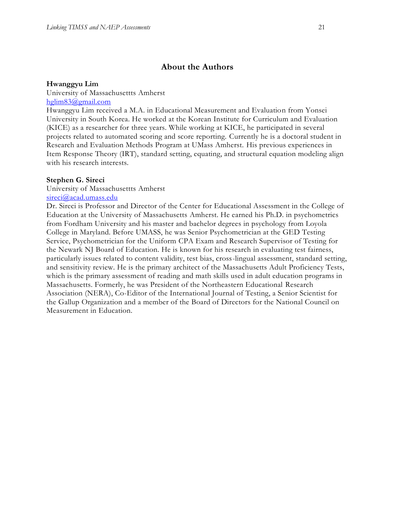## **About the Authors**

## **Hwanggyu Lim**

University of Massachusettts Amherst [hglim83@gmail.com](mailto:hglim83@gmail.com)

Hwanggyu Lim received a M.A. in Educational Measurement and Evaluation from Yonsei University in South Korea. He worked at the Korean Institute for Curriculum and Evaluation (KICE) as a researcher for three years. While working at KICE, he participated in several projects related to automated scoring and score reporting. Currently he is a doctoral student in Research and Evaluation Methods Program at UMass Amherst. His previous experiences in Item Response Theory (IRT), standard setting, equating, and structural equation modeling align with his research interests.

## **Stephen G. Sireci**

University of Massachusettts Amherst [sireci@acad.umass.edu](mailto:sireci@acad.umass.edu)

Dr. Sireci is Professor and Director of the Center for Educational Assessment in the College of Education at the University of Massachusetts Amherst. He earned his Ph.D. in psychometrics from Fordham University and his master and bachelor degrees in psychology from Loyola College in Maryland. Before UMASS, he was Senior Psychometrician at the GED Testing Service, Psychometrician for the Uniform CPA Exam and Research Supervisor of Testing for the Newark NJ Board of Education. He is known for his research in evaluating test fairness, particularly issues related to content validity, test bias, cross-lingual assessment, standard setting, and sensitivity review. He is the primary architect of the Massachusetts Adult Proficiency Tests, which is the primary assessment of reading and math skills used in adult education programs in Massachusetts. Formerly, he was President of the Northeastern Educational Research Association (NERA), Co-Editor of the International Journal of Testing, a Senior Scientist for the Gallup Organization and a member of the Board of Directors for the National Council on Measurement in Education.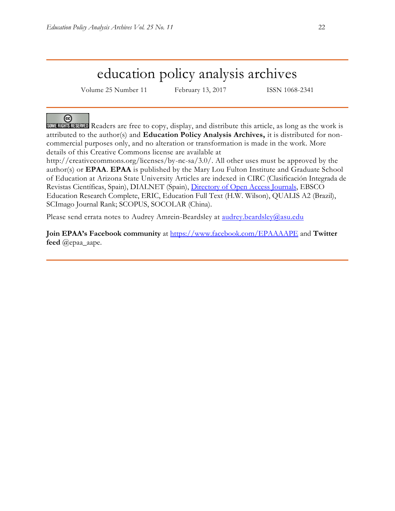## education policy analysis archives

Volume 25 Number 11 February 13, 2017 ISSN 1068-2341

@

SOME RIGHTS RESERVED Readers are free to copy, display, and distribute this article, as long as the work is attributed to the author(s) and **Education Policy Analysis Archives,** it is distributed for noncommercial purposes only, and no alteration or transformation is made in the work. More details of this Creative Commons license are available at

http://creativecommons.org/licenses/by-nc-sa/3.0/. All other uses must be approved by the author(s) or **EPAA**. **EPAA** is published by the Mary Lou Fulton Institute and Graduate School of Education at Arizona State University Articles are indexed in CIRC (Clasificación Integrada de Revistas Científicas, Spain), DIALNET (Spain), [Directory of Open Access Journals,](http://www.doaj.org/) EBSCO Education Research Complete, ERIC, Education Full Text (H.W. Wilson), QUALIS A2 (Brazil), SCImago Journal Rank; SCOPUS, SOCOLAR (China).

Please send errata notes to Audrey Amrein-Beardsley at [audrey.beardsley@asu.edu](mailto:audrey.beardsley@asu.edu)

**Join EPAA's Facebook community** at<https://www.facebook.com/EPAAAAPE> and **Twitter feed** @epaa\_aape.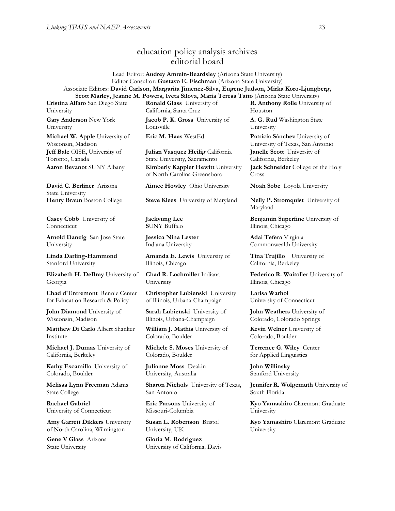## education policy analysis archives editorial board

Lead Editor: **Audrey Amrein-Beardsley** (Arizona State University) Editor Consultor: **Gustavo E. Fischman** (Arizona State University) Associate Editors: **David Carlson, Margarita Jimenez-Silva, Eugene Judson, Mirka Koro-Ljungberg, Scott Marley, Jeanne M. Powers, Iveta Silova, Maria Teresa Tatto** (Arizona State University)

**Cristina Alfaro** San Diego State University

**Gary Anderson** New York University

**Michael W. Apple** University of Wisconsin, Madison **Jeff Bale** OISE, University of Toronto, Canada

**David C. Berliner** Arizona State University

**Casey Cobb** University of Connecticut

**Arnold Danzig** San Jose State University

**Linda Darling-Hammond**  Stanford University

**Elizabeth H. DeBray** University of Georgia

**Chad d'Entremont** Rennie Center for Education Research & Policy

**John Diamond** University of Wisconsin, Madison

**Matthew Di Carlo** Albert Shanker Institute

**Michael J. Dumas** University of California, Berkeley

**Kathy Escamilla** University of Colorado, Boulder

**Melissa Lynn Freeman** Adams State College

**Rachael Gabriel** University of Connecticut

**Amy Garrett Dikkers** University of North Carolina, Wilmington

**Gene V Glass** Arizona State University

**Ronald Glass** University of California, Santa Cruz

**Jacob P. K. Gross** University of Louisville

**Julian Vasquez Heilig** California State University, Sacramento **Aaron Bevanot SUNY Albany <b>Kimberly Kappler Hewitt** University of North Carolina Greensboro

**Aimee Howley** Ohio University **Noah Sobe** Loyola University

**Henry Braun** Boston College **Steve Klees** University of Maryland **Nelly P. Stromquist** University of

**Jaekyung Lee S**UNY Buffalo

**Jessica Nina Lester** Indiana University

**Amanda E. Lewis** University of Illinois, Chicago

**Chad R. Lochmiller** Indiana University

**Christopher Lubienski** University of Illinois, Urbana-Champaign

**Sarah Lubienski** University of Illinois, Urbana-Champaign

**William J. Mathis** University of Colorado, Boulder

**Michele S. Moses** University of Colorado, Boulder

**Julianne Moss** Deakin University, Australia

**Sharon Nichols** University of Texas, San Antonio

**Eric Parsons** University of Missouri-Columbia

**Susan L. Robertson** Bristol University, UK

**Gloria M. Rodriguez** University of California, Davis **R. Anthony Rolle** University of Houston

**A. G. Rud** Washington State University

**Eric M. Haas** WestEd **Patricia Sánchez** University of University of Texas, San Antonio **Janelle Scott** University of California, Berkeley **Jack Schneider** College of the Holy Cross

Maryland

**Benjamin Superfine** University of Illinois, Chicago

**Adai Tefera** Virginia Commonwealth University

**Tina Trujillo** University of California, Berkeley

**Federico R. Waitoller** University of Illinois, Chicago

**Larisa Warhol** University of Connecticut

**John Weathers** University of Colorado, Colorado Springs

**Kevin Welner** University of Colorado, Boulder

**Terrence G. Wiley** Center for Applied Linguistics

**John Willinsky**  Stanford University

**Jennifer R. Wolgemuth** University of South Florida

**Kyo Yamashiro** Claremont Graduate University

**Kyo Yamashiro** Claremont Graduate University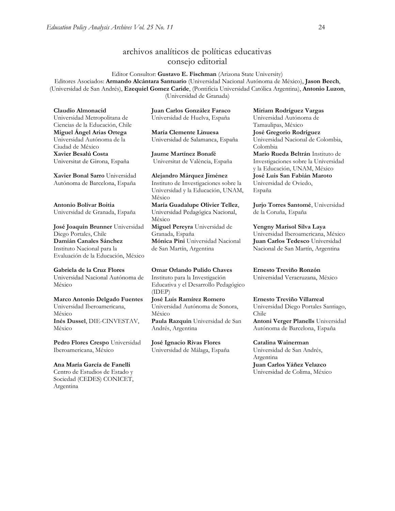## archivos analíticos de políticas educativas consejo editorial

Editor Consultor: **Gustavo E. Fischman** (Arizona State University) Editores Asociados: **Armando Alcántara Santuario** (Universidad Nacional Autónoma de México), **Jason Beech**, (Universidad de San Andrés), **Ezequiel Gomez Caride**, (Pontificia Universidad Católica Argentina), **Antonio Luzon**, (Universidad de Granada)

**Claudio Almonacid** Universidad Metropolitana de Ciencias de la Educación, Chile **Miguel Ángel Arias Ortega**  Universidad Autónoma de la Ciudad de México **Xavier Besalú Costa**  Universitat de Girona, España

**[Xavier Bonal](javascript:openRTWindow() Sarro** Universidad Autónoma de Barcelona, España

**[Antonio Bolívar](javascript:openRTWindow() Boitia** Universidad de Granada, España

**[José Joaquín Brunner](javascript:openRTWindow()** Universidad Diego Portales, Chile **[Damián Canales Sánchez](javascript:openRTWindow()** Instituto Nacional para la Evaluación de la Educación, México

#### **Gabriela de la Cruz Flores** Universidad Nacional Autónoma de México

**[Marco Antonio Delgado Fuentes](javascript:openRTWindow()** Universidad Iberoamericana, México

**[Inés Dussel](javascript:openRTWindow()**, DIE-CINVESTAV, México

**[Pedro Flores Crespo](javascript:openRTWindow()** Universidad Iberoamericana, México

## **Ana María García de Fanelli**  Centro de Estudios de Estado y

Sociedad (CEDES) CONICET, Argentina

**Juan Carlos González Faraco**  Universidad de Huelva, España

**María Clemente Linuesa**  Universidad de Salamanca, España

**Jaume Martínez Bonafé** Universitat de València, España

**Alejandro Márquez Jiménez**  Instituto de Investigaciones sobre la Universidad y la Educación, UNAM, México **María Guadalupe Olivier Tellez**, Universidad Pedagógica Nacional, México **[Miguel Pereyra](javascript:openRTWindow()** Universidad de Granada, España **[Mónica Pini](javascript:openRTWindow()** Universidad Nacional de San Martín, Argentina

**Omar Orlando Pulido Chaves** Instituto para la Investigación Educativa y el Desarrollo Pedagógico (IDEP) **[José Luis Ramírez](javascript:openRTWindow() Romero**

Universidad Autónoma de Sonora, México **[Paula Razquin](javascript:openRTWindow()** Universidad de San Andrés, Argentina

**José Ignacio Rivas Flores** Universidad de Málaga, España **[Miriam Rodríguez Vargas](javascript:openRTWindow()** Universidad Autónoma de Tamaulipas, México **José Gregorio Rodríguez**  Universidad Nacional de Colombia, Colombia

**[Mario Rueda Beltrán](javascript:openRTWindow()** Instituto de Investigaciones sobre la Universidad y la Educación, UNAM, México **José Luis San Fabián Maroto**  Universidad de Oviedo, España

**[Jurjo Torres Santomé](javascript:openRTWindow()**, Universidad de la Coruña, España

**[Yengny Marisol Silva Laya](javascript:openRTWindow()** Universidad Iberoamericana, México **Juan Carlos Tedesco** Universidad Nacional de San Martín, Argentina

**Ernesto Treviño Ronzón** Universidad Veracruzana, México

**[Ernesto Treviño](javascript:openRTWindow() Villarreal** Universidad Diego Portales Santiago, Chile **[Antoni Verger Planells](javascript:openRTWindow()** Universidad

Autónoma de Barcelona, España

#### **[Catalina Wainerman](javascript:openRTWindow()**

Universidad de San Andrés, Argentina

**Juan Carlos Yáñez Velazco** Universidad de Colima, México